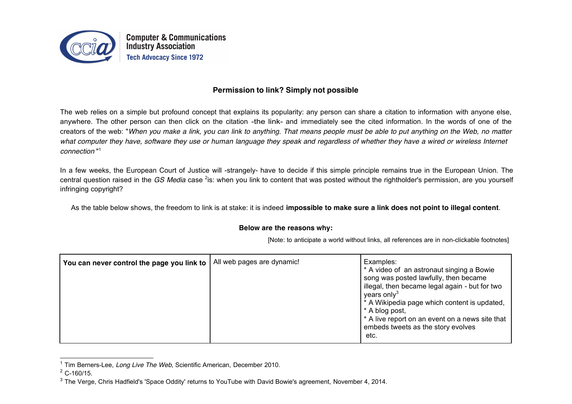

**Computer & Communications Industry Association Tech Advocacy Since 1972** 

## **Permission to link? Simply not possible**

The web relies on a simple but profound concept that explains its popularity: any person can share a citation to information with anyone else, anywhere. The other person can then click on the citation -the link- and immediately see the cited information. In the words of one of the creators of the web: "When you make a link, you can link to anything. That means people must be able to put anything on the Web, no matter what computer they have, software they use or human language they speak and regardless of whether they have a wired or wireless Internet *connection* " 1

In a few weeks, the European Court of Justice will -strangely- have to decide if this simple principle remains true in the European Union. The central question raised in the *GS Media* case <sup>2</sup>is: when you link to content that was posted without the rightholder's permission, are you yourself infringing copyright?

As the table below shows, the freedom to link is at stake: it is indeed **impossible to make sure a link does not point to illegal content**.

## **Below are the reasons why:**

[Note: to anticipate a world without links, all references are in non-clickable footnotes]

| You can never control the page you link to | All web pages are dynamic! | Examples:<br>* A video of an astronaut singing a Bowie<br>song was posted lawfully, then became<br>illegal, then became legal again - but for two<br>years only $3$<br>* A Wikipedia page which content is updated,<br>* A blog post,<br>* A live report on an event on a news site that<br>embeds tweets as the story evolves<br>etc. |
|--------------------------------------------|----------------------------|----------------------------------------------------------------------------------------------------------------------------------------------------------------------------------------------------------------------------------------------------------------------------------------------------------------------------------------|
|--------------------------------------------|----------------------------|----------------------------------------------------------------------------------------------------------------------------------------------------------------------------------------------------------------------------------------------------------------------------------------------------------------------------------------|

<sup>1</sup> Tim Berners-Lee, *Long Live The Web*, Scientific American, December 2010.

 $2$  C-160/15.

 $3$  The Verge, Chris Hadfield's 'Space Oddity' returns to YouTube with David Bowie's agreement, November 4, 2014.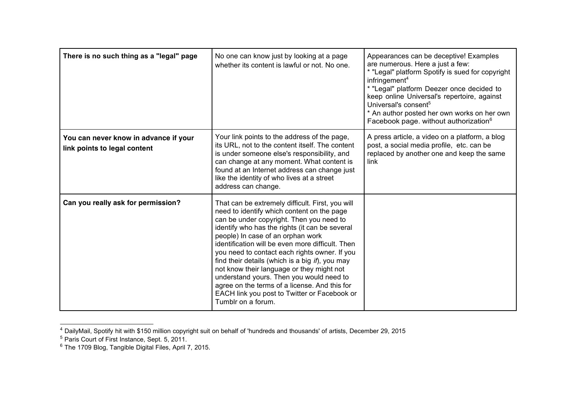| There is no such thing as a "legal" page                              | No one can know just by looking at a page<br>whether its content is lawful or not. No one.                                                                                                                                                                                                                                                                                                                                                                                                                                                                                                                        | Appearances can be deceptive! Examples<br>are numerous. Here a just a few:<br>* "Legal" platform Spotify is sued for copyright<br>infringement <sup>4</sup><br>* "Legal" platform Deezer once decided to<br>keep online Universal's repertoire, against<br>Universal's consent <sup>5</sup><br>* An author posted her own works on her own<br>Facebook page. without authorization <sup>6</sup> |
|-----------------------------------------------------------------------|-------------------------------------------------------------------------------------------------------------------------------------------------------------------------------------------------------------------------------------------------------------------------------------------------------------------------------------------------------------------------------------------------------------------------------------------------------------------------------------------------------------------------------------------------------------------------------------------------------------------|-------------------------------------------------------------------------------------------------------------------------------------------------------------------------------------------------------------------------------------------------------------------------------------------------------------------------------------------------------------------------------------------------|
| You can never know in advance if your<br>link points to legal content | Your link points to the address of the page,<br>its URL, not to the content itself. The content<br>is under someone else's responsibility, and<br>can change at any moment. What content is<br>found at an Internet address can change just<br>like the identity of who lives at a street<br>address can change.                                                                                                                                                                                                                                                                                                  | A press article, a video on a platform, a blog<br>post, a social media profile, etc. can be<br>replaced by another one and keep the same<br>link                                                                                                                                                                                                                                                |
| Can you really ask for permission?                                    | That can be extremely difficult. First, you will<br>need to identify which content on the page<br>can be under copyright. Then you need to<br>identify who has the rights (it can be several<br>people) In case of an orphan work<br>identification will be even more difficult. Then<br>you need to contact each rights owner. If you<br>find their details (which is a big <i>if</i> ), you may<br>not know their language or they might not<br>understand yours. Then you would need to<br>agree on the terms of a license. And this for<br>EACH link you post to Twitter or Facebook or<br>Tumblr on a forum. |                                                                                                                                                                                                                                                                                                                                                                                                 |

<sup>&</sup>lt;sup>4</sup> DailyMail, Spotify hit with \$150 million copyright suit on behalf of 'hundreds and thousands' of artists, December 29, 2015

<sup>&</sup>lt;sup>5</sup> Paris Court of First Instance, Sept. 5, 2011.

 $^6$  The 1709 Blog, Tangible Digital Files, April 7, 2015.